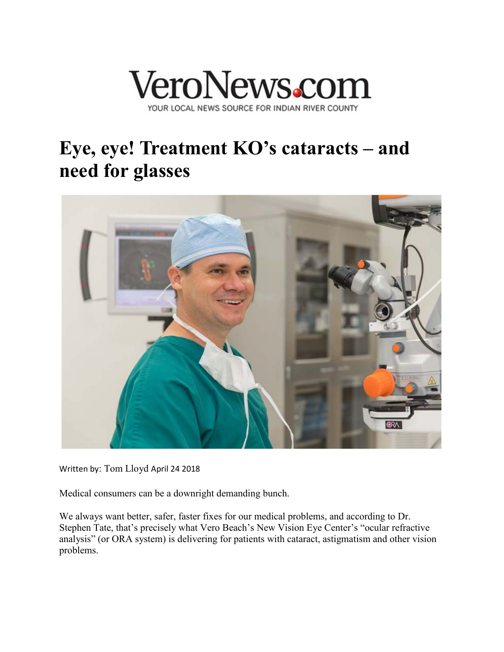

## **Eye, eye! Treatment KO's cataracts – and need for glasses**



Written by: [Tom Lloyd](http://veronews.com/author/tom-lloyd/) April 24 2018

Medical consumers can be a downright demanding bunch.

We always want better, safer, faster fixes for our medical problems, and according to Dr. Stephen Tate, that's precisely what Vero Beach's New Vision Eye Center's "ocular refractive analysis" (or ORA system) is delivering for patients with cataract, astigmatism and other vision problems.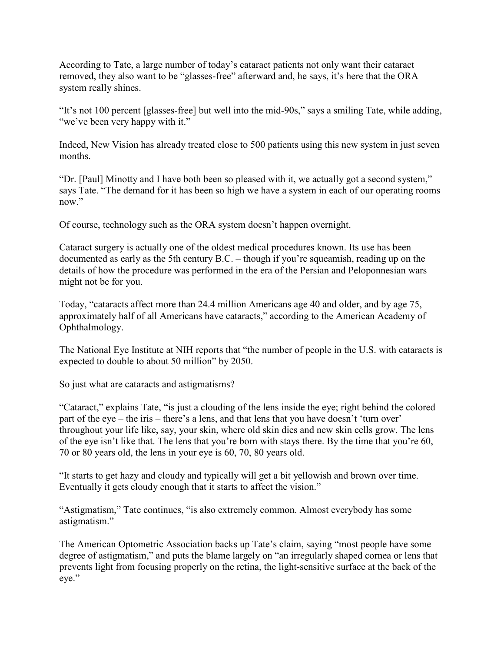According to Tate, a large number of today's cataract patients not only want their cataract removed, they also want to be "glasses-free" afterward and, he says, it's here that the ORA system really shines.

"It's not 100 percent [glasses-free] but well into the mid-90s," says a smiling Tate, while adding, "we've been very happy with it."

Indeed, New Vision has already treated close to 500 patients using this new system in just seven months.

"Dr. [Paul] Minotty and I have both been so pleased with it, we actually got a second system," says Tate. "The demand for it has been so high we have a system in each of our operating rooms now."

Of course, technology such as the ORA system doesn't happen overnight.

Cataract surgery is actually one of the oldest medical procedures known. Its use has been documented as early as the 5th century B.C. – though if you're squeamish, reading up on the details of how the procedure was performed in the era of the Persian and Peloponnesian wars might not be for you.

Today, "cataracts affect more than 24.4 million Americans age 40 and older, and by age 75, approximately half of all Americans have cataracts," according to the American Academy of Ophthalmology.

The National Eye Institute at NIH reports that "the number of people in the U.S. with cataracts is expected to double to about 50 million" by 2050.

So just what are cataracts and astigmatisms?

"Cataract," explains Tate, "is just a clouding of the lens inside the eye; right behind the colored part of the eye – the iris – there's a lens, and that lens that you have doesn't 'turn over' throughout your life like, say, your skin, where old skin dies and new skin cells grow. The lens of the eye isn't like that. The lens that you're born with stays there. By the time that you're 60, 70 or 80 years old, the lens in your eye is 60, 70, 80 years old.

"It starts to get hazy and cloudy and typically will get a bit yellowish and brown over time. Eventually it gets cloudy enough that it starts to affect the vision."

"Astigmatism," Tate continues, "is also extremely common. Almost everybody has some astigmatism."

The American Optometric Association backs up Tate's claim, saying "most people have some degree of astigmatism," and puts the blame largely on "an irregularly shaped cornea or lens that prevents light from focusing properly on the retina, the light-sensitive surface at the back of the eye."